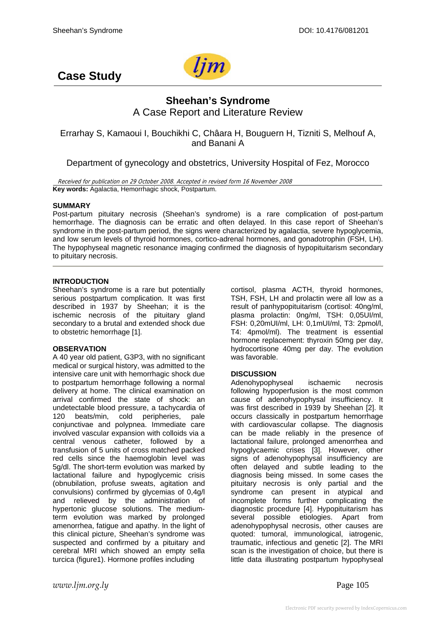

# **Case Study**

# **Sheehan's Syndrome**  A Case Report and Literature Review

Errarhay S, Kamaoui I, Bouchikhi C, Châara H, Bouguern H, Tizniti S, Melhouf A, and Banani A

Department of gynecology and obstetrics, University Hospital of Fez, Morocco

Received for publication on 29 October 2008. Accepted in revised form 16 November 2008 **Key words:** Agalactia, Hemorrhagic shock, Postpartum.

### **SUMMARY**

Post-partum pituitary necrosis (Sheehan's syndrome) is a rare complication of post-partum hemorrhage. The diagnosis can be erratic and often delayed. In this case report of Sheehan's syndrome in the post-partum period, the signs were characterized by agalactia, severe hypoglycemia, and low serum levels of thyroid hormones, cortico-adrenal hormones, and gonadotrophin (FSH, LH). The hypophyseal magnetic resonance imaging confirmed the diagnosis of hypopituitarism secondary to pituitary necrosis.

### **INTRODUCTION**

Sheehan's syndrome is a rare but potentially serious postpartum complication. It was first described in 1937 by Sheehan; it is the ischemic necrosis of the pituitary gland secondary to a brutal and extended shock due to obstetric hemorrhage [1].

# **OBSERVATION**

A 40 year old patient, G3P3, with no significant medical or surgical history, was admitted to the intensive care unit with hemorrhagic shock due to postpartum hemorrhage following a normal delivery at home. The clinical examination on arrival confirmed the state of shock: an undetectable blood pressure, a tachycardia of 120 beats/min, cold peripheries, pale conjunctivae and polypnea. Immediate care involved vascular expansion with colloids via a central venous catheter, followed by a transfusion of 5 units of cross matched packed red cells since the haemoglobin level was 5g/dl. The short-term evolution was marked by lactational failure and hypoglycemic crisis (obnubilation, profuse sweats, agitation and convulsions) confirmed by glycemias of 0,4g/l and relieved by the administration of hypertonic glucose solutions. The mediumterm evolution was marked by prolonged amenorrhea, fatigue and apathy. In the light of this clinical picture, Sheehan's syndrome was suspected and confirmed by a pituitary and cerebral MRI which showed an empty sella turcica (figure1). Hormone profiles including

cortisol, plasma ACTH, thyroid hormones, TSH, FSH, LH and prolactin were all low as a result of panhypopituitarism (cortisol: 40ng/ml, plasma prolactin: 0ng/ml, TSH: 0,05UI/ml, FSH: 0,20mUI/ml, LH: 0,1mUI/ml, T3: 2pmol/l, T4: 4pmol/ml). The treatment is essential hormone replacement: thyroxin 50mg per day, hydrocortisone 40mg per day. The evolution was favorable.

# **DISCUSSION**

Adenohypophyseal ischaemic necrosis following hypoperfusion is the most common cause of adenohypophysal insufficiency. It was first described in 1939 by Sheehan [2]. It occurs classically in postpartum hemorrhage with cardiovascular collapse. The diagnosis can be made reliably in the presence of lactational failure, prolonged amenorrhea and hypoglycaemic crises [3]. However, other signs of adenohypophysal insufficiency are often delayed and subtle leading to the diagnosis being missed. In some cases the pituitary necrosis is only partial and the syndrome can present in atypical and incomplete forms further complicating the diagnostic procedure [4]. Hypopituitarism has several possible etiologies. Apart from adenohypophysal necrosis, other causes are quoted: tumoral, immunological, iatrogenic, traumatic, infectious and genetic [2]. The MRI scan is the investigation of choice, but there is little data illustrating postpartum hypophyseal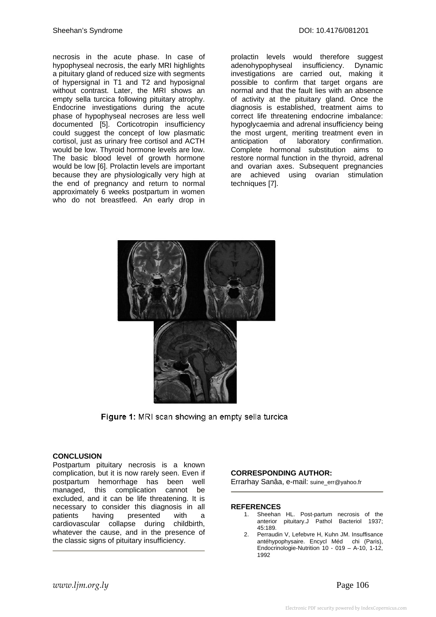necrosis in the acute phase. In case of hypophyseal necrosis, the early MRI highlights a pituitary gland of reduced size with segments of hypersignal in T1 and T2 and hyposignal without contrast. Later, the MRI shows an empty sella turcica following pituitary atrophy. Endocrine investigations during the acute phase of hypophyseal necroses are less well documented [5]. Corticotropin insufficiency could suggest the concept of low plasmatic cortisol, just as urinary free cortisol and ACTH would be low. Thyroid hormone levels are low. The basic blood level of growth hormone would be low [6]. Prolactin levels are important because they are physiologically very high at the end of pregnancy and return to normal approximately 6 weeks postpartum in women who do not breastfeed. An early drop in

prolactin levels would therefore suggest adenohypophyseal insufficiency. Dynamic investigations are carried out, making it possible to confirm that target organs are normal and that the fault lies with an absence of activity at the pituitary gland. Once the diagnosis is established, treatment aims to correct life threatening endocrine imbalance: hypoglycaemia and adrenal insufficiency being the most urgent, meriting treatment even in anticipation of laboratory confirmation. Complete hormonal substitution aims to restore normal function in the thyroid, adrenal and ovarian axes. Subsequent pregnancies are achieved using ovarian stimulation techniques [7].



**Figure 1:** MRI scan showing an empty sella turcica

#### **CONCLUSION**

Postpartum pituitary necrosis is a known complication, but it is now rarely seen. Even if postpartum hemorrhage has been well managed, this complication cannot be excluded, and it can be life threatening. It is necessary to consider this diagnosis in all patients having presented with a cardiovascular collapse during childbirth, whatever the cause, and in the presence of the classic signs of pituitary insufficiency.

#### **CORRESPONDING AUTHOR:**

Errarhay Sanâa, e-mail: suine\_err@yahoo.fr

#### **REFERENCES**

- 1. Sheehan HL. Post-partum necrosis of the anterior pituitary.J Pathol Bacteriol 1937; 45:189.
- 2. Perraudin V, Lefebvre H, Kuhn JM. Insuffisance antéhypophysaire. Encycl Méd chi (Paris), Endocrinologie-Nutrition 10 - 019 – A-10, 1-12, 1992